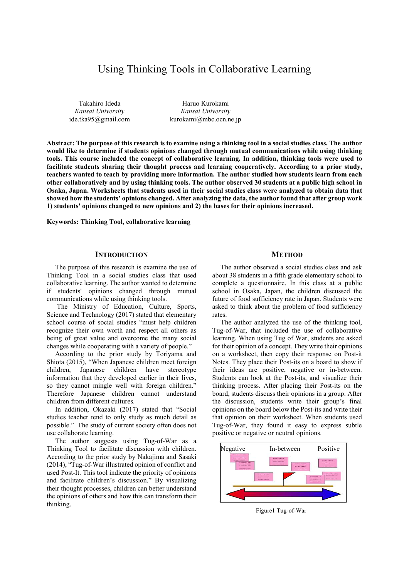# Using Thinking Tools in Collaborative Learning

Takahiro Ideda *Kansai University*  ide.tka95@gmail.com

Haruo Kurokami *Kansai University*  kurokami@mbc.ocn.ne.jp

**Abstract: The purpose of this research is to examine using a thinking tool in a social studies class. The author would like to determine if students opinions changed through mutual communications while using thinking tools. This course included the concept of collaborative learning. In addition, thinking tools were used to facilitate students sharing their thought process and learning cooperatively. According to a prior study, teachers wanted to teach by providing more information. The author studied how students learn from each other collaboratively and by using thinking tools. The author observed 30 students at a public high school in Osaka, Japan. Worksheets that students used in their social studies class were analyzed to obtain data that showed how the students' opinions changed. After analyzing the data, the author found that after group work 1) students' opinions changed to new opinions and 2) the bases for their opinions increased.** 

**Keywords: Thinking Tool, collaborative learning** 

# **INTRODUCTION**

The purpose of this research is examine the use of Thinking Tool in a social studies class that used collaborative learning. The author wanted to determine if students' opinions changed through mutual communications while using thinking tools.

 The Ministry of Education, Culture, Sports, Science and Technology (2017) stated that elementary school course of social studies "must help children recognize their own worth and respect all others as being of great value and overcome the many social changes while cooperating with a variety of people."

According to the prior study by Toriyama and Shiota (2015), "When Japanese children meet foreign children, Japanese children have stereotype information that they developed earlier in their lives, so they cannot mingle well with foreign children." Therefore Japanese children cannot understand children from different cultures.

In addition, Okazaki (2017) stated that "Social studies teacher tend to only study as much detail as possible." The study of current society often does not use collaborate learning.

The author suggests using Tug-of-War as a Thinking Tool to facilitate discussion with children. According to the prior study by Nakajima and Sasaki (2014), "Tug-of-War illustrated opinion of conflict and used Post-It. This tool indicate the priority of opinions and facilitate children's discussion." By visualizing their thought processes, children can better understand the opinions of others and how this can transform their thinking.

# **METHOD**

The author observed a social studies class and ask about 38 students in a fifth grade elementary school to complete a questionnaire. In this class at a public school in Osaka, Japan, the children discussed the future of food sufficiency rate in Japan. Students were asked to think about the problem of food sufficiency rates.

The author analyzed the use of the thinking tool, Tug-of-War, that included the use of collaborative learning. When using Tug of War, students are asked for their opinion of a concept. They write their opinions on a worksheet, then copy their response on Post-it Notes. They place their Post-its on a board to show if their ideas are positive, negative or in-between. Students can look at the Post-its, and visualize their thinking process. After placing their Post-its on the board, students discuss their opinions in a group. After the discussion, students write their group's final opinions on the board below the Post-its and write their that opinion on their worksheet. When students used Tug-of-War, they found it easy to express subtle positive or negative or neutral opinions.



Figure1 Tug-of-War